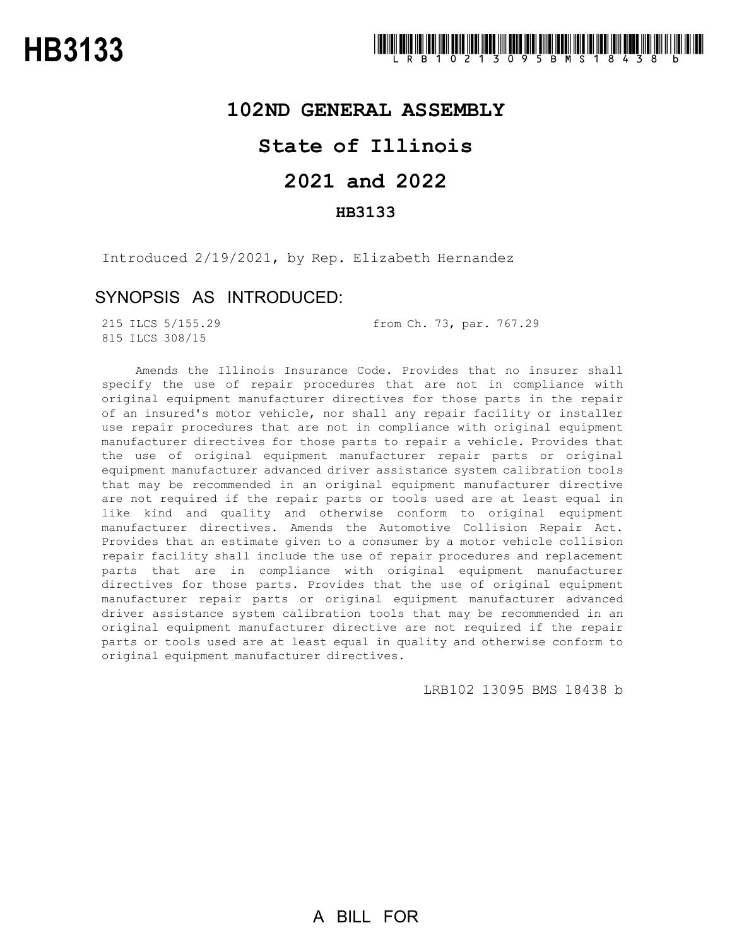### **102ND GENERAL ASSEMBLY**

# **State of Illinois**

# **2021 and 2022**

### **HB3133**

Introduced 2/19/2021, by Rep. Elizabeth Hernandez

## SYNOPSIS AS INTRODUCED:

815 ILCS 308/15

215 ILCS 5/155.29 from Ch. 73, par. 767.29

Amends the Illinois Insurance Code. Provides that no insurer shall specify the use of repair procedures that are not in compliance with original equipment manufacturer directives for those parts in the repair of an insured's motor vehicle, nor shall any repair facility or installer use repair procedures that are not in compliance with original equipment manufacturer directives for those parts to repair a vehicle. Provides that the use of original equipment manufacturer repair parts or original equipment manufacturer advanced driver assistance system calibration tools that may be recommended in an original equipment manufacturer directive are not required if the repair parts or tools used are at least equal in like kind and quality and otherwise conform to original equipment manufacturer directives. Amends the Automotive Collision Repair Act. Provides that an estimate given to a consumer by a motor vehicle collision repair facility shall include the use of repair procedures and replacement parts that are in compliance with original equipment manufacturer directives for those parts. Provides that the use of original equipment manufacturer repair parts or original equipment manufacturer advanced driver assistance system calibration tools that may be recommended in an original equipment manufacturer directive are not required if the repair parts or tools used are at least equal in quality and otherwise conform to original equipment manufacturer directives.

LRB102 13095 BMS 18438 b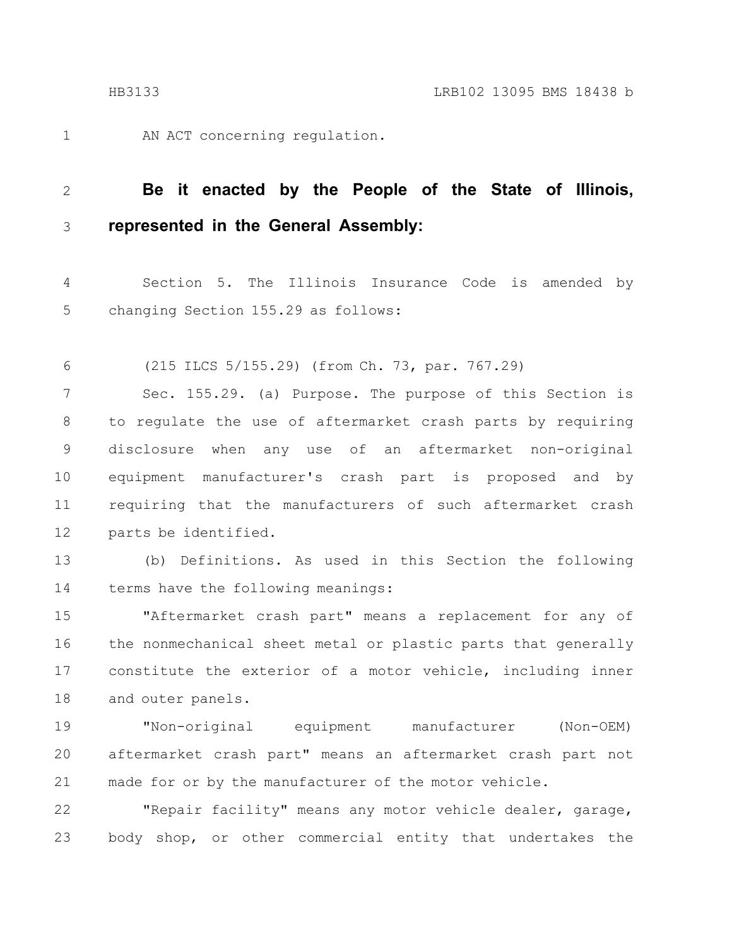1

AN ACT concerning regulation.

#### **Be it enacted by the People of the State of Illinois, represented in the General Assembly:** 2 3

Section 5. The Illinois Insurance Code is amended by changing Section 155.29 as follows: 4 5

(215 ILCS 5/155.29) (from Ch. 73, par. 767.29) 6

Sec. 155.29. (a) Purpose. The purpose of this Section is to regulate the use of aftermarket crash parts by requiring disclosure when any use of an aftermarket non-original equipment manufacturer's crash part is proposed and by requiring that the manufacturers of such aftermarket crash parts be identified. 7 8 9 10 11 12

(b) Definitions. As used in this Section the following terms have the following meanings: 13 14

"Aftermarket crash part" means a replacement for any of the nonmechanical sheet metal or plastic parts that generally constitute the exterior of a motor vehicle, including inner and outer panels. 15 16 17 18

"Non-original equipment manufacturer (Non-OEM) aftermarket crash part" means an aftermarket crash part not made for or by the manufacturer of the motor vehicle. 19 20 21

"Repair facility" means any motor vehicle dealer, garage, body shop, or other commercial entity that undertakes the 22 23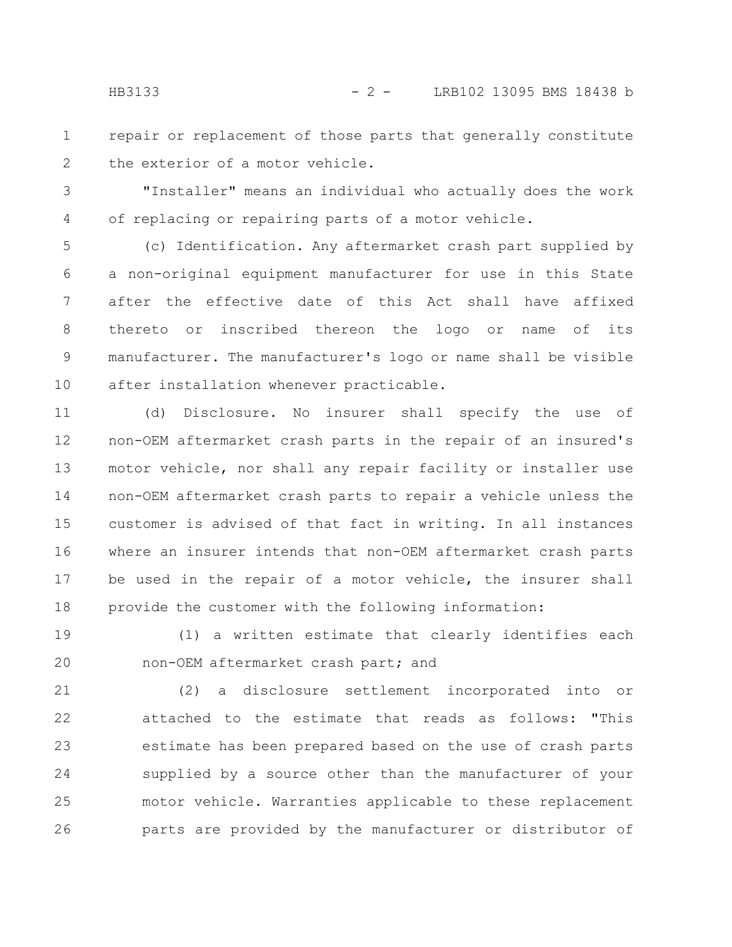repair or replacement of those parts that generally constitute the exterior of a motor vehicle. 1 2

"Installer" means an individual who actually does the work of replacing or repairing parts of a motor vehicle. 3 4

(c) Identification. Any aftermarket crash part supplied by a non-original equipment manufacturer for use in this State after the effective date of this Act shall have affixed thereto or inscribed thereon the logo or name of its manufacturer. The manufacturer's logo or name shall be visible after installation whenever practicable. 5 6 7 8 9 10

(d) Disclosure. No insurer shall specify the use of non-OEM aftermarket crash parts in the repair of an insured's motor vehicle, nor shall any repair facility or installer use non-OEM aftermarket crash parts to repair a vehicle unless the customer is advised of that fact in writing. In all instances where an insurer intends that non-OEM aftermarket crash parts be used in the repair of a motor vehicle, the insurer shall provide the customer with the following information: 11 12 13 14 15 16 17 18

(1) a written estimate that clearly identifies each non-OEM aftermarket crash part; and 19 20

(2) a disclosure settlement incorporated into or attached to the estimate that reads as follows: "This estimate has been prepared based on the use of crash parts supplied by a source other than the manufacturer of your motor vehicle. Warranties applicable to these replacement parts are provided by the manufacturer or distributor of 21 22 23 24 25 26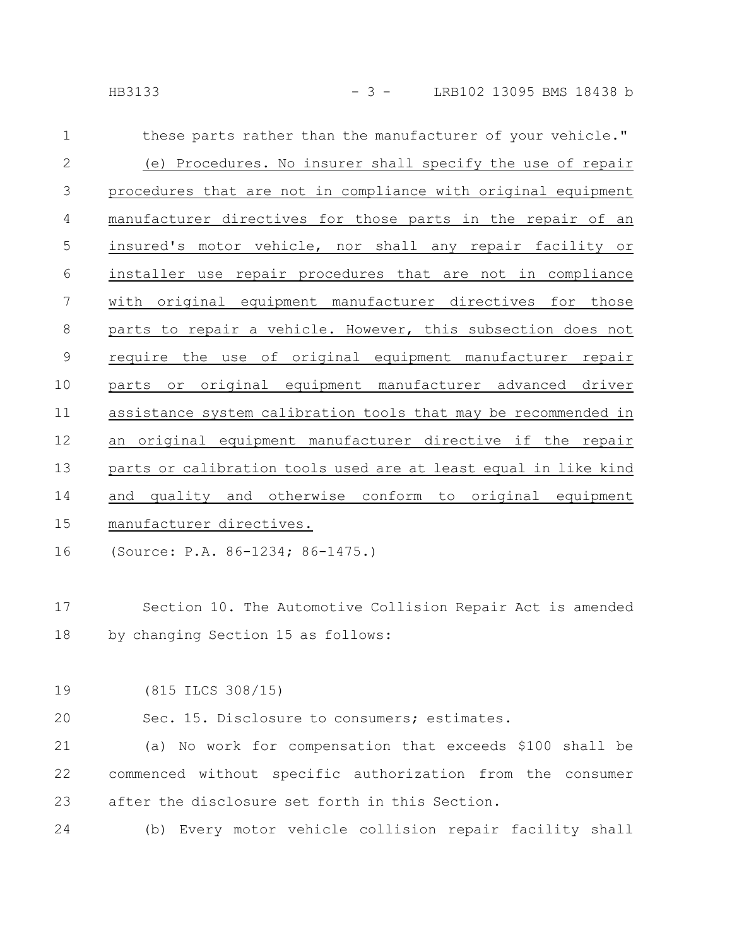these parts rather than the manufacturer of your vehicle." (e) Procedures. No insurer shall specify the use of repair procedures that are not in compliance with original equipment manufacturer directives for those parts in the repair of an insured's motor vehicle, nor shall any repair facility or installer use repair procedures that are not in compliance with original equipment manufacturer directives for those parts to repair a vehicle. However, this subsection does not require the use of original equipment manufacturer repair parts or original equipment manufacturer advanced driver assistance system calibration tools that may be recommended in an original equipment manufacturer directive if the repair parts or calibration tools used are at least equal in like kind and quality and otherwise conform to original equipment manufacturer directives. 1 2 3 4 5 6 7 8 9 10 11 12 13 14 15

(Source: P.A. 86-1234; 86-1475.) 16

Section 10. The Automotive Collision Repair Act is amended by changing Section 15 as follows: 17 18

(815 ILCS 308/15) 19

Sec. 15. Disclosure to consumers; estimates. 20

(a) No work for compensation that exceeds \$100 shall be commenced without specific authorization from the consumer after the disclosure set forth in this Section. 21 22 23

(b) Every motor vehicle collision repair facility shall 24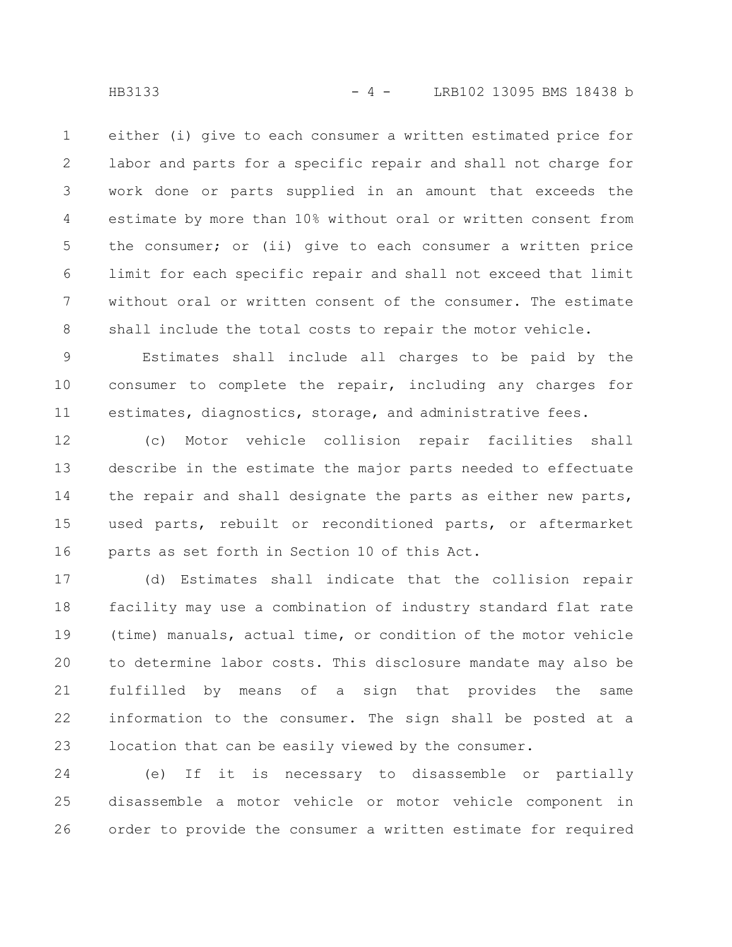either (i) give to each consumer a written estimated price for labor and parts for a specific repair and shall not charge for work done or parts supplied in an amount that exceeds the estimate by more than 10% without oral or written consent from the consumer; or (ii) give to each consumer a written price limit for each specific repair and shall not exceed that limit without oral or written consent of the consumer. The estimate shall include the total costs to repair the motor vehicle. 1 2 3 4 5 6 7 8

Estimates shall include all charges to be paid by the consumer to complete the repair, including any charges for estimates, diagnostics, storage, and administrative fees. 9 10 11

(c) Motor vehicle collision repair facilities shall describe in the estimate the major parts needed to effectuate the repair and shall designate the parts as either new parts, used parts, rebuilt or reconditioned parts, or aftermarket parts as set forth in Section 10 of this Act. 12 13 14 15 16

(d) Estimates shall indicate that the collision repair facility may use a combination of industry standard flat rate (time) manuals, actual time, or condition of the motor vehicle to determine labor costs. This disclosure mandate may also be fulfilled by means of a sign that provides the same information to the consumer. The sign shall be posted at a location that can be easily viewed by the consumer. 17 18 19 20 21 22 23

(e) If it is necessary to disassemble or partially disassemble a motor vehicle or motor vehicle component in order to provide the consumer a written estimate for required 24 25 26